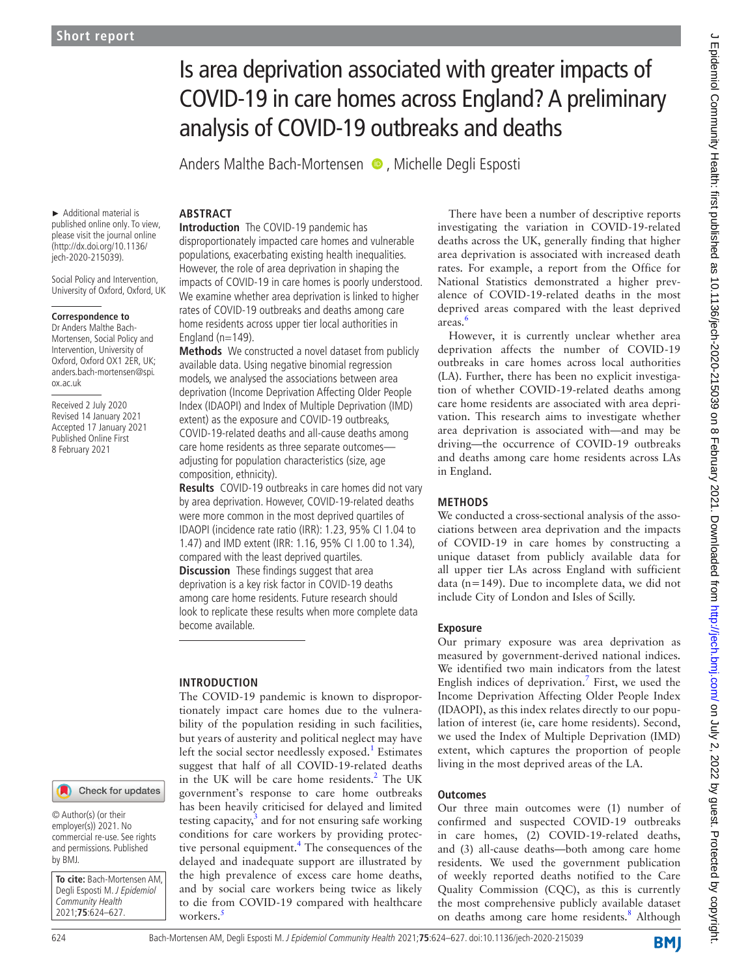# Is area deprivation associated with greater impacts of COVID-19 in care homes across England? A preliminary analysis of COVID-19 outbreaks and deaths

Anders Malthe Bach-Mortensen  $\bullet$ , Michelle Degli Esposti

► Additional material is published online only. To view, please visit the journal online (http://dx.doi.org/10.1136/ jech-2020-215039).

Social Policy and Intervention, University of Oxford, Oxford, UK

#### **Correspondence to**

Dr Anders Malthe Bach-Mortensen, Social Policy and Intervention, University of Oxford, Oxford OX1 2ER, UK; anders.bach-mortensen@spi. ox.ac.uk

Received 2 July 2020 Revised 14 January 2021 Accepted 17 January 2021 Published Online First 8 February 2021

# **ABSTRACT**

**Introduction** The COVID-19 pandemic has disproportionately impacted care homes and vulnerable populations, exacerbating existing health inequalities. However, the role of area deprivation in shaping the impacts of COVID-19 in care homes is poorly understood. We examine whether area deprivation is linked to higher rates of COVID-19 outbreaks and deaths among care home residents across upper tier local authorities in England ( $n=149$ ).

**Methods** We constructed a novel dataset from publicly available data. Using negative binomial regression models, we analysed the associations between area deprivation (Income Deprivation Affecting Older People Index (IDAOPI) and Index of Multiple Deprivation (IMD) extent) as the exposure and COVID-19 outbreaks, COVID-19-related deaths and all-cause deaths among care home residents as three separate outcomes adjusting for population characteristics (size, age composition, ethnicity).

**Results** COVID-19 outbreaks in care homes did not vary by area deprivation. However, COVID-19-related deaths were more common in the most deprived quartiles of IDAOPI (incidence rate ratio (IRR): 1.23, 95% CI 1.04 to 1.47) and IMD extent (IRR: 1.16, 95% CI 1.00 to 1.34), compared with the least deprived quartiles.

**Discussion** These findings suggest that area deprivation is a key risk factor in COVID-19 deaths among care home residents. Future research should look to replicate these results when more complete data become available.

# **INTRODUCTION**

The COVID-19 pandemic is known to disproportionately impact care homes due to the vulnerability of the population residing in such facilities, but years of austerity and political neglect may have left the social sector needlessly exposed.<sup>[1](#page-3-0)</sup> Estimates suggest that half of all COVID-19-related deaths in the UK will be care home residents.<sup>[2](#page-3-1)</sup> The UK government's response to care home outbreaks has been heavily criticised for delayed and limited testing capacity, $3$  and for not ensuring safe working conditions for care workers by providing protec-tive personal equipment.<sup>[4](#page-3-3)</sup> The consequences of the delayed and inadequate support are illustrated by the high prevalence of excess care home deaths, and by social care workers being twice as likely to die from COVID-19 compared with healthcare workers.<sup>[5](#page-3-4)</sup>

There have been a number of descriptive reports investigating the variation in COVID-19-related deaths across the UK, generally finding that higher area deprivation is associated with increased death rates. For example, a report from the Office for National Statistics demonstrated a higher prevalence of COVID-19-related deaths in the most deprived areas compared with the least deprived areas.[6](#page-3-5)

However, it is currently unclear whether area deprivation affects the number of COVID-19 outbreaks in care homes across local authorities (LA). Further, there has been no explicit investigation of whether COVID-19-related deaths among care home residents are associated with area deprivation. This research aims to investigate whether area deprivation is associated with—and may be driving—the occurrence of COVID-19 outbreaks and deaths among care home residents across LAs in England.

#### **METHODS**

We conducted a cross-sectional analysis of the associations between area deprivation and the impacts of COVID-19 in care homes by constructing a unique dataset from publicly available data for all upper tier LAs across England with sufficient data (n=149). Due to incomplete data, we did not include City of London and Isles of Scilly.

### **Exposure**

Our primary exposure was area deprivation as measured by government-derived national indices. We identified two main indicators from the latest English indices of deprivation.<sup>[7](#page-3-6)</sup> First, we used the Income Deprivation Affecting Older People Index (IDAOPI), as this index relates directly to our population of interest (ie, care home residents). Second, we used the Index of Multiple Deprivation (IMD) extent, which captures the proportion of people living in the most deprived areas of the LA.

#### **Outcomes**

Our three main outcomes were (1) number of confirmed and suspected COVID-19 outbreaks in care homes, (2) COVID-19-related deaths, and (3) all-cause deaths—both among care home residents. We used the government publication of weekly reported deaths notified to the Care Quality Commission (CQC), as this is currently the most comprehensive publicly available dataset on deaths among care home residents.<sup>[8](#page-3-7)</sup> Although

© Author(s) (or their employer(s)) 2021. No commercial re-use. See rights and permissions. Published by BMJ.

**To cite:** Bach-Mortensen AM, Degli Esposti M. J Epidemiol Community Health 2021;**75**:624–627.

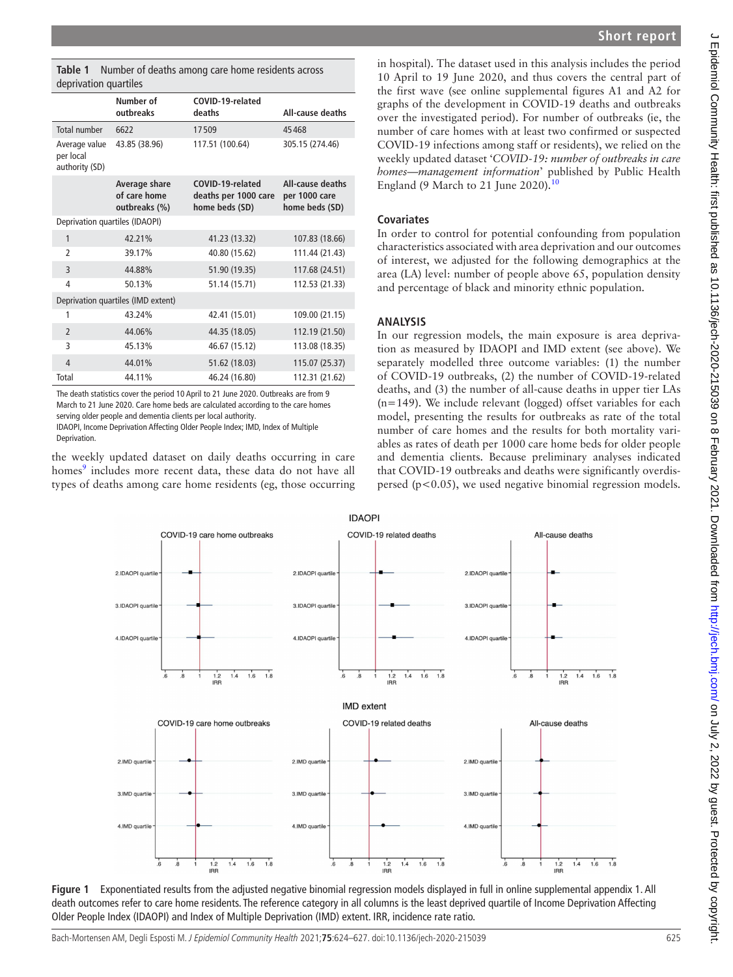<span id="page-1-0"></span>**Table 1** Number of deaths among care home residents across deprivation quartiles

|                                              | Number of<br>outbreaks                         | COVID-19-related<br>deaths                                 | <b>All-cause deaths</b>                             |
|----------------------------------------------|------------------------------------------------|------------------------------------------------------------|-----------------------------------------------------|
| Total number                                 | 6622                                           | 17509                                                      | 45468                                               |
| Average value<br>per local<br>authority (SD) | 43.85 (38.96)                                  | 117.51 (100.64)                                            | 305.15 (274.46)                                     |
|                                              | Average share<br>of care home<br>outbreaks (%) | COVID-19-related<br>deaths per 1000 care<br>home beds (SD) | All-cause deaths<br>per 1000 care<br>home beds (SD) |
| Deprivation quartiles (IDAOPI)               |                                                |                                                            |                                                     |
| 1                                            | 42.21%                                         | 41.23 (13.32)                                              | 107.83 (18.66)                                      |
| 2                                            | 39.17%                                         | 40.80 (15.62)                                              | 111.44 (21.43)                                      |
| 3                                            | 44.88%                                         | 51.90 (19.35)                                              | 117.68 (24.51)                                      |
| 4                                            | 50.13%                                         | 51.14 (15.71)                                              | 112.53 (21.33)                                      |
| Deprivation quartiles (IMD extent)           |                                                |                                                            |                                                     |
| 1                                            | 43.24%                                         | 42.41 (15.01)                                              | 109.00 (21.15)                                      |
| $\overline{2}$                               | 44.06%                                         | 44.35 (18.05)                                              | 112.19 (21.50)                                      |
| 3                                            | 45.13%                                         | 46.67 (15.12)                                              | 113.08 (18.35)                                      |
| 4                                            | 44.01%                                         | 51.62 (18.03)                                              | 115.07 (25.37)                                      |
| Total                                        | 44.11%                                         | 46.24 (16.80)                                              | 112.31 (21.62)                                      |

The death statistics cover the period 10 April to 21 June 2020. Outbreaks are from 9 March to 21 June 2020. Care home beds are calculated according to the care homes serving older people and dementia clients per local authority.

IDAOPI, Income Deprivation Affecting Older People Index; IMD, Index of Multiple Deprivation.

the weekly updated dataset on daily deaths occurring in care homes<sup>[9](#page-3-8)</sup> includes more recent data, these data do not have all types of deaths among care home residents (eg, those occurring

in hospital). The dataset used in this analysis includes the period 10 April to 19 June 2020, and thus covers the central part of the first wave (see [online supplemental figures A1 and A2](https://dx.doi.org/10.1136/jech-2020-215039) for graphs of the development in COVID-19 deaths and outbreaks over the investigated period). For number of outbreaks (ie, the number of care homes with at least two confirmed or suspected COVID-19 infections among staff or residents), we relied on the weekly updated dataset '*COVID-19: number of outbreaks in care homes—management information*' published by Public Health England (9 March to 21 June 2020). $10$ 

# **Covariates**

In order to control for potential confounding from population characteristics associated with area deprivation and our outcomes of interest, we adjusted for the following demographics at the area (LA) level: number of people above 65, population density and percentage of black and minority ethnic population.

## **ANALYSIS**

In our regression models, the main exposure is area deprivation as measured by IDAOPI and IMD extent (see above). We separately modelled three outcome variables: (1) the number of COVID-19 outbreaks, (2) the number of COVID-19-related deaths, and (3) the number of all-cause deaths in upper tier LAs (n=149). We include relevant (logged) offset variables for each model, presenting the results for outbreaks as rate of the total number of care homes and the results for both mortality variables as rates of death per 1000 care home beds for older people and dementia clients. Because preliminary analyses indicated that COVID-19 outbreaks and deaths were significantly overdispersed (p<0.05), we used negative binomial regression models.



<span id="page-1-1"></span>**Figure 1** Exponentiated results from the adjusted negative binomial regression models displayed in full in [online supplemental appendix 1.](https://dx.doi.org/10.1136/jech-2020-215039) All death outcomes refer to care home residents. The reference category in all columns is the least deprived quartile of Income Deprivation Affecting Older People Index (IDAOPI) and Index of Multiple Deprivation (IMD) extent. IRR, incidence rate ratio.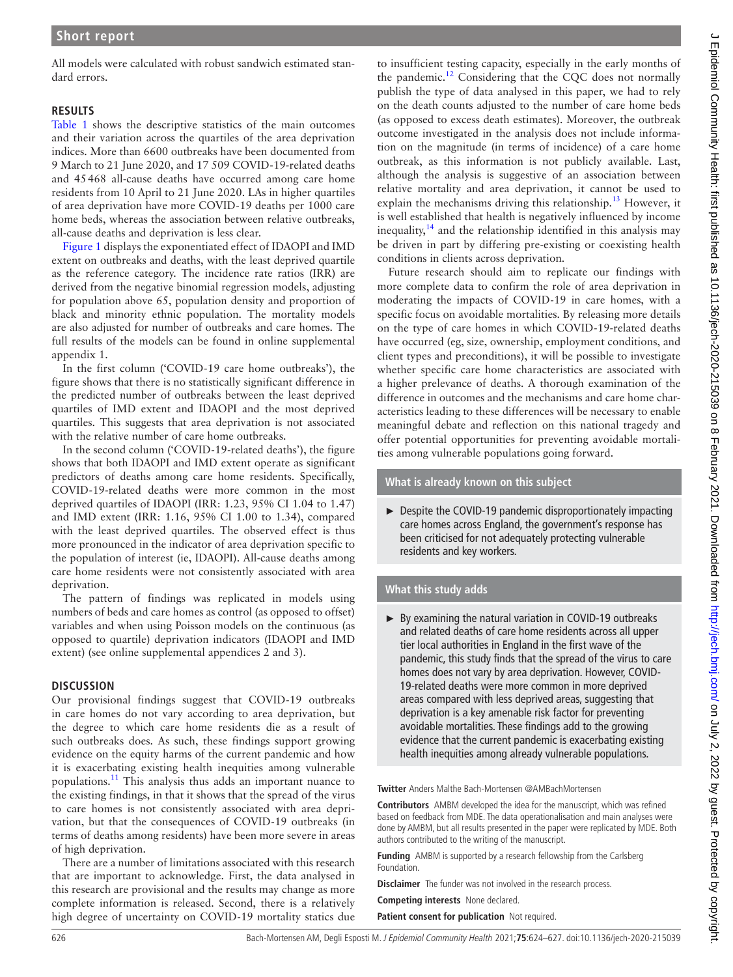All models were calculated with robust sandwich estimated standard errors.

## **RESULTS**

[Table](#page-1-0) 1 shows the descriptive statistics of the main outcomes and their variation across the quartiles of the area deprivation indices. More than 6600 outbreaks have been documented from 9 March to 21 June 2020, and 17 509 COVID-19-related deaths and 45468 all-cause deaths have occurred among care home residents from 10 April to 21 June 2020. LAs in higher quartiles of area deprivation have more COVID-19 deaths per 1000 care home beds, whereas the association between relative outbreaks, all-cause deaths and deprivation is less clear.

[Figure](#page-1-1) 1 displays the exponentiated effect of IDAOPI and IMD extent on outbreaks and deaths, with the least deprived quartile as the reference category. The incidence rate ratios (IRR) are derived from the negative binomial regression models, adjusting for population above 65, population density and proportion of black and minority ethnic population. The mortality models are also adjusted for number of outbreaks and care homes. The full results of the models can be found in [online supplemental](https://dx.doi.org/10.1136/jech-2020-215039)  [appendix 1](https://dx.doi.org/10.1136/jech-2020-215039).

In the first column ('COVID-19 care home outbreaks'), the figure shows that there is no statistically significant difference in the predicted number of outbreaks between the least deprived quartiles of IMD extent and IDAOPI and the most deprived quartiles. This suggests that area deprivation is not associated with the relative number of care home outbreaks.

In the second column ('COVID-19-related deaths'), the figure shows that both IDAOPI and IMD extent operate as significant predictors of deaths among care home residents. Specifically, COVID-19-related deaths were more common in the most deprived quartiles of IDAOPI (IRR: 1.23, 95% CI 1.04 to 1.47) and IMD extent (IRR: 1.16, 95% CI 1.00 to 1.34), compared with the least deprived quartiles. The observed effect is thus more pronounced in the indicator of area deprivation specific to the population of interest (ie, IDAOPI). All-cause deaths among care home residents were not consistently associated with area deprivation.

The pattern of findings was replicated in models using numbers of beds and care homes as control (as opposed to offset) variables and when using Poisson models on the continuous (as opposed to quartile) deprivation indicators (IDAOPI and IMD extent) (see [online supplemental appendices 2 and 3](https://dx.doi.org/10.1136/jech-2020-215039)).

# **DISCUSSION**

Our provisional findings suggest that COVID-19 outbreaks in care homes do not vary according to area deprivation, but the degree to which care home residents die as a result of such outbreaks does. As such, these findings support growing evidence on the equity harms of the current pandemic and how it is exacerbating existing health inequities among vulnerable populations.<sup>11</sup> This analysis thus adds an important nuance to the existing findings, in that it shows that the spread of the virus to care homes is not consistently associated with area deprivation, but that the consequences of COVID-19 outbreaks (in terms of deaths among residents) have been more severe in areas of high deprivation.

There are a number of limitations associated with this research that are important to acknowledge. First, the data analysed in this research are provisional and the results may change as more complete information is released. Second, there is a relatively high degree of uncertainty on COVID-19 mortality statics due

to insufficient testing capacity, especially in the early months of the pandemic.[12](#page-3-11) Considering that the CQC does not normally publish the type of data analysed in this paper, we had to rely on the death counts adjusted to the number of care home beds (as opposed to excess death estimates). Moreover, the outbreak outcome investigated in the analysis does not include information on the magnitude (in terms of incidence) of a care home outbreak, as this information is not publicly available. Last, although the analysis is suggestive of an association between relative mortality and area deprivation, it cannot be used to explain the mechanisms driving this relationship.<sup>[13](#page-3-12)</sup> However, it is well established that health is negatively influenced by income inequality,  $14$  and the relationship identified in this analysis may be driven in part by differing pre-existing or coexisting health conditions in clients across deprivation.

Future research should aim to replicate our findings with more complete data to confirm the role of area deprivation in moderating the impacts of COVID-19 in care homes, with a specific focus on avoidable mortalities. By releasing more details on the type of care homes in which COVID-19-related deaths have occurred (eg, size, ownership, employment conditions, and client types and preconditions), it will be possible to investigate whether specific care home characteristics are associated with a higher prelevance of deaths. A thorough examination of the difference in outcomes and the mechanisms and care home characteristics leading to these differences will be necessary to enable meaningful debate and reflection on this national tragedy and offer potential opportunities for preventing avoidable mortalities among vulnerable populations going forward.

**What is already known on this subject**

► Despite the COVID-19 pandemic disproportionately impacting care homes across England, the government's response has been criticised for not adequately protecting vulnerable residents and key workers.

# **What this study adds**

► By examining the natural variation in COVID-19 outbreaks and related deaths of care home residents across all upper tier local authorities in England in the first wave of the pandemic, this study finds that the spread of the virus to care homes does not vary by area deprivation. However, COVID-19-related deaths were more common in more deprived areas compared with less deprived areas, suggesting that deprivation is a key amenable risk factor for preventing avoidable mortalities. These findings add to the growing evidence that the current pandemic is exacerbating existing health inequities among already vulnerable populations.

**Twitter** Anders Malthe Bach-Mortensen [@AMBachMortensen](https://twitter.com/AMBachMortensen)

**Contributors** AMBM developed the idea for the manuscript, which was refined based on feedback from MDE. The data operationalisation and main analyses were done by AMBM, but all results presented in the paper were replicated by MDE. Both authors contributed to the writing of the manuscript.

**Funding** AMBM is supported by a research fellowship from the Carlsberg Foundation.

**Disclaimer** The funder was not involved in the research process.

**Competing interests** None declared.

**Patient consent for publication** Not required.